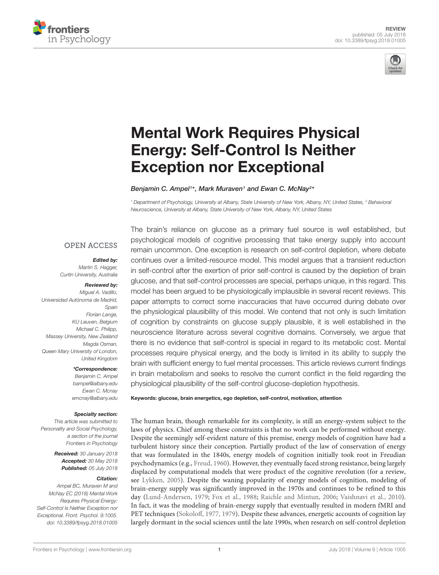



# Mental Work Requires Physical [Energy: Self-Control Is Neither](https://www.frontiersin.org/articles/10.3389/fpsyg.2018.01005/full) Exception nor Exceptional

[Benjamin C. Ampel](http://loop.frontiersin.org/people/434890/overview)1\*, [Mark Muraven](http://loop.frontiersin.org/people/532659/overview)1 and [Ewan C. McNay](http://loop.frontiersin.org/people/20810/overview)<sup>2</sup>\*

<sup>1</sup> Department of Psychology, University at Albany, State University of New York, Albany, NY, United States, <sup>2</sup> Behavioral Neuroscience, University at Albany, State University of New York, Albany, NY, United States

#### **OPEN ACCESS**

#### Edited by:

Martin S. Hagger, Curtin University, Australia

#### Reviewed by:

Miguel A. Vadillo, Universidad Autónoma de Madrid, Spain Florian Lange, KU Leuven, Belgium Michael C. Philipp, Massey University, New Zealand Magda Osman, Queen Mary University of London, United Kingdom

> \*Correspondence: Benjamin C. Ampel

bampel@albany.edu Ewan C. Mcnay emcnay@albany.edu

#### Specialty section:

This article was submitted to Personality and Social Psychology, a section of the journal Frontiers in Psychology

> Received: 30 January 2018 Accepted: 30 May 2018 Published: 05 July 2018

#### Citation:

Ampel BC, Muraven M and McNay EC (2018) Mental Work Requires Physical Energy: Self-Control Is Neither Exception nor Exceptional. Front. Psychol. 9:1005. doi: [10.3389/fpsyg.2018.01005](https://doi.org/10.3389/fpsyg.2018.01005)

The brain's reliance on glucose as a primary fuel source is well established, but psychological models of cognitive processing that take energy supply into account remain uncommon. One exception is research on self-control depletion, where debate continues over a limited-resource model. This model argues that a transient reduction in self-control after the exertion of prior self-control is caused by the depletion of brain glucose, and that self-control processes are special, perhaps unique, in this regard. This model has been argued to be physiologically implausible in several recent reviews. This paper attempts to correct some inaccuracies that have occurred during debate over the physiological plausibility of this model. We contend that not only is such limitation of cognition by constraints on glucose supply plausible, it is well established in the neuroscience literature across several cognitive domains. Conversely, we argue that there is no evidence that self-control is special in regard to its metabolic cost. Mental processes require physical energy, and the body is limited in its ability to supply the brain with sufficient energy to fuel mental processes. This article reviews current findings in brain metabolism and seeks to resolve the current conflict in the field regarding the physiological plausibility of the self-control glucose-depletion hypothesis.

Keywords: glucose, brain energetics, ego depletion, self-control, motivation, attention

The human brain, though remarkable for its complexity, is still an energy-system subject to the laws of physics. Chief among these constraints is that no work can be performed without energy. Despite the seemingly self-evident nature of this premise, energy models of cognition have had a turbulent history since their conception. Partially product of the law of conservation of energy that was formulated in the 1840s, energy models of cognition initially took root in Freudian psychodynamics (e.g., [Freud,](#page-8-0) [1960\)](#page-8-0). However, they eventually faced strong resistance, being largely displaced by computational models that were product of the cognitive revolution (for a review, see [Lykken,](#page-9-0) [2005\)](#page-9-0). Despite the waning popularity of energy models of cognition, modeling of brain-energy supply was significantly improved in the 1970s and continues to be refined to this day [\(Lund-Andersen,](#page-9-1) [1979;](#page-9-1) [Fox et al.,](#page-8-1) [1988;](#page-8-1) [Raichle and Mintun,](#page-10-0) [2006;](#page-10-0) [Vaishnavi et al.,](#page-10-1) [2010\)](#page-10-1). In fact, it was the modeling of brain-energy supply that eventually resulted in modern fMRI and PET techniques [\(Sokoloff,](#page-10-2) [1977,](#page-10-2) [1979\)](#page-10-3). Despite these advances, energetic accounts of cognition lay largely dormant in the social sciences until the late 1990s, when research on self-control depletion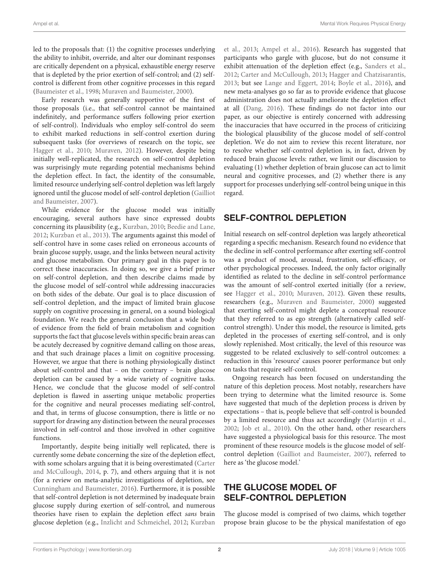led to the proposals that: (1) the cognitive processes underlying the ability to inhibit, override, and alter our dominant responses are critically dependent on a physical, exhaustible energy reserve that is depleted by the prior exertion of self-control; and (2) selfcontrol is different from other cognitive processes in this regard [\(Baumeister et al.,](#page-8-2) [1998;](#page-8-2) [Muraven and Baumeister,](#page-10-4) [2000\)](#page-10-4).

Early research was generally supportive of the first of those proposals (i.e., that self-control cannot be maintained indefinitely, and performance suffers following prior exertion of self-control). Individuals who employ self-control do seem to exhibit marked reductions in self-control exertion during subsequent tasks (for overviews of research on the topic, see [Hagger et al.,](#page-9-2) [2010;](#page-9-2) [Muraven,](#page-10-5) [2012\)](#page-10-5). However, despite being initially well-replicated, the research on self-control depletion was surprisingly mute regarding potential mechanisms behind the depletion effect. In fact, the identity of the consumable, limited resource underlying self-control depletion was left largely ignored until the glucose model of self-control depletion [\(Gailliot](#page-8-3) [and Baumeister,](#page-8-3) [2007\)](#page-8-3).

While evidence for the glucose model was initially encouraging, several authors have since expressed doubts concerning its plausibility (e.g., [Kurzban,](#page-9-3) [2010;](#page-9-3) [Beedie and Lane,](#page-8-4) [2012;](#page-8-4) [Kurzban et al.,](#page-9-4) [2013\)](#page-9-4). The arguments against this model of self-control have in some cases relied on erroneous accounts of brain glucose supply, usage, and the links between neural activity and glucose metabolism. Our primary goal in this paper is to correct these inaccuracies. In doing so, we give a brief primer on self-control depletion, and then describe claims made by the glucose model of self-control while addressing inaccuracies on both sides of the debate. Our goal is to place discussion of self-control depletion, and the impact of limited brain glucose supply on cognitive processing in general, on a sound biological foundation. We reach the general conclusion that a wide body of evidence from the field of brain metabolism and cognition supports the fact that glucose levels within specific brain areas can be acutely decreased by cognitive demand calling on those areas, and that such drainage places a limit on cognitive processing. However, we argue that there is nothing physiologically distinct about self-control and that – on the contrary – brain glucose depletion can be caused by a wide variety of cognitive tasks. Hence, we conclude that the glucose model of self-control depletion is flawed in asserting unique metabolic properties for the cognitive and neural processes mediating self-control, and that, in terms of glucose consumption, there is little or no support for drawing any distinction between the neural processes involved in self-control and those involved in other cognitive functions.

Importantly, despite being initially well replicated, there is currently some debate concerning the size of the depletion effect, with some scholars arguing that it is being overestimated [\(Carter](#page-8-5) [and McCullough,](#page-8-5) [2014,](#page-8-5) p. 7), and others arguing that it is not (for a review on meta-analytic investigations of depletion, see [Cunningham and Baumeister,](#page-8-6) [2016\)](#page-8-6). Furthermore, it is possible that self-control depletion is not determined by inadequate brain glucose supply during exertion of self-control, and numerous theories have risen to explain the depletion effect sans brain glucose depletion (e.g., [Inzlicht and Schmeichel,](#page-9-5) [2012;](#page-9-5) [Kurzban](#page-9-4)

[et al.,](#page-9-4) [2013;](#page-9-4) [Ampel et al.,](#page-8-7) [2016\)](#page-8-7). Research has suggested that participants who gargle with glucose, but do not consume it exhibit attenuation of the depletion effect (e.g., [Sanders et al.,](#page-10-6) [2012;](#page-10-6) [Carter and McCullough,](#page-8-8) [2013;](#page-8-8) [Hagger and Chatzisarantis,](#page-9-6) [2013;](#page-9-6) but see [Lange and Eggert,](#page-9-7) [2014;](#page-9-7) [Boyle et al.,](#page-8-9) [2016\)](#page-8-9), and new meta-analyses go so far as to provide evidence that glucose administration does not actually ameliorate the depletion effect at all [\(Dang,](#page-8-10) [2016\)](#page-8-10). These findings do not factor into our paper, as our objective is entirely concerned with addressing the inaccuracies that have occurred in the process of criticizing the biological plausibility of the glucose model of self-control depletion. We do not aim to review this recent literature, nor to resolve whether self-control depletion is, in fact, driven by reduced brain glucose levels: rather, we limit our discussion to evaluating (1) whether depletion of brain glucose can act to limit neural and cognitive processes, and (2) whether there is any support for processes underlying self-control being unique in this regard.

# SELF-CONTROL DEPLETION

Initial research on self-control depletion was largely atheoretical regarding a specific mechanism. Research found no evidence that the decline in self-control performance after exerting self-control was a product of mood, arousal, frustration, self-efficacy, or other psychological processes. Indeed, the only factor originally identified as related to the decline in self-control performance was the amount of self-control exerted initially (for a review, see [Hagger et al.,](#page-9-2) [2010;](#page-9-2) [Muraven,](#page-10-5) [2012\)](#page-10-5). Given these results, researchers (e.g., [Muraven and Baumeister,](#page-10-4) [2000\)](#page-10-4) suggested that exerting self-control might deplete a conceptual resource that they referred to as ego strength (alternatively called selfcontrol strength). Under this model, the resource is limited, gets depleted in the processes of exerting self-control, and is only slowly replenished. Most critically, the level of this resource was suggested to be related exclusively to self-control outcomes: a reduction in this 'resource' causes poorer performance but only on tasks that require self-control.

Ongoing research has been focused on understanding the nature of this depletion process. Most notably, researchers have been trying to determine what the limited resource is. Some have suggested that much of the depletion process is driven by expectations – that is, people believe that self-control is bounded by a limited resource and thus act accordingly [\(Martijn et al.,](#page-9-8) [2002;](#page-9-8) [Job et al.,](#page-9-9) [2010\)](#page-9-9). On the other hand, other researchers have suggested a physiological basis for this resource. The most prominent of these resource models is the glucose model of selfcontrol depletion [\(Gailliot and Baumeister,](#page-8-3) [2007\)](#page-8-3), referred to here as 'the glucose model.'

# THE GLUCOSE MODEL OF SELF-CONTROL DEPLETION

The glucose model is comprised of two claims, which together propose brain glucose to be the physical manifestation of ego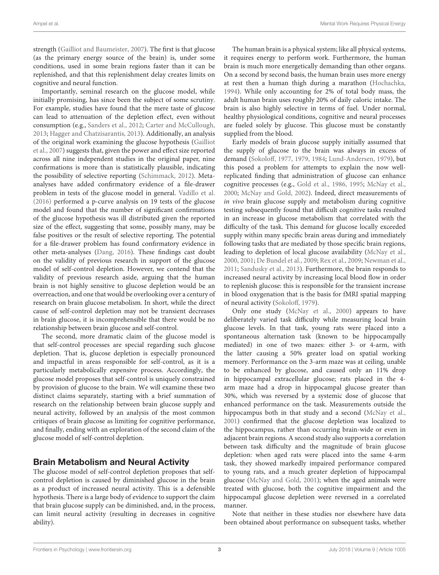strength [\(Gailliot and Baumeister,](#page-8-3) [2007\)](#page-8-3). The first is that glucose (as the primary energy source of the brain) is, under some conditions, used in some brain regions faster than it can be replenished, and that this replenishment delay creates limits on cognitive and neural function.

Importantly, seminal research on the glucose model, while initially promising, has since been the subject of some scrutiny. For example, studies have found that the mere taste of glucose can lead to attenuation of the depletion effect, even without consumption (e.g., [Sanders et al.,](#page-10-6) [2012;](#page-10-6) [Carter and McCullough,](#page-8-8) [2013;](#page-8-8) [Hagger and Chatzisarantis,](#page-9-6) [2013\)](#page-9-6). Additionally, an analysis of the original work examining the glucose hypothesis [\(Gailliot](#page-8-11) [et al.,](#page-8-11) [2007\)](#page-8-11) suggests that, given the power and effect size reported across all nine independent studies in the original paper, nine confirmations is more than is statistically plausible, indicating the possibility of selective reporting [\(Schimmack,](#page-10-7) [2012\)](#page-10-7). Metaanalyses have added confirmatory evidence of a file-drawer problem in tests of the glucose model in general. [Vadillo et al.](#page-10-8) [\(2016\)](#page-10-8) performed a p-curve analysis on 19 tests of the glucose model and found that the number of significant confirmations of the glucose hypothesis was ill distributed given the reported size of the effect, suggesting that some, possibly many, may be false positives or the result of selective reporting. The potential for a file-drawer problem has found confirmatory evidence in other meta-analyses [\(Dang,](#page-8-10) [2016\)](#page-8-10). These findings cast doubt on the validity of previous research in support of the glucose model of self-control depletion. However, we contend that the validity of previous research aside, arguing that the human brain is not highly sensitive to glucose depletion would be an overreaction, and one that would be overlooking over a century of research on brain glucose metabolism. In short, while the direct cause of self-control depletion may not be transient decreases in brain glucose, it is incomprehensible that there would be no relationship between brain glucose and self-control.

The second, more dramatic claim of the glucose model is that self-control processes are special regarding such glucose depletion. That is, glucose depletion is especially pronounced and impactful in areas responsible for self-control, as it is a particularly metabolically expensive process. Accordingly, the glucose model proposes that self-control is uniquely constrained by provision of glucose to the brain. We will examine these two distinct claims separately, starting with a brief summation of research on the relationship between brain glucose supply and neural activity, followed by an analysis of the most common critiques of brain glucose as limiting for cognitive performance, and finally, ending with an exploration of the second claim of the glucose model of self-control depletion.

#### Brain Metabolism and Neural Activity

The glucose model of self-control depletion proposes that selfcontrol depletion is caused by diminished glucose in the brain as a product of increased neural activity. This is a defensible hypothesis. There is a large body of evidence to support the claim that brain glucose supply can be diminished, and, in the process, can limit neural activity (resulting in decreases in cognitive ability).

The human brain is a physical system; like all physical systems, it requires energy to perform work. Furthermore, the human brain is much more energetically demanding than other organs. On a second by second basis, the human brain uses more energy at rest then a human thigh during a marathon [\(Hochachka,](#page-9-10) [1994\)](#page-9-10). While only accounting for 2% of total body mass, the adult human brain uses roughly 20% of daily caloric intake. The brain is also highly selective in terms of fuel. Under normal, healthy physiological conditions, cognitive and neural processes are fueled solely by glucose. This glucose must be constantly supplied from the blood.

Early models of brain glucose supply initially assumed that the supply of glucose to the brain was always in excess of demand [\(Sokoloff,](#page-10-2) [1977,](#page-10-2) [1979,](#page-10-3) [1984;](#page-10-9) [Lund-Andersen,](#page-9-1) [1979\)](#page-9-1), but this posed a problem for attempts to explain the now wellreplicated finding that administration of glucose can enhance cognitive processes (e.g., [Gold et al.,](#page-9-11) [1986,](#page-9-11) [1995;](#page-8-12) [McNay et al.,](#page-9-12) [2000;](#page-9-12) [McNay and Gold,](#page-9-13) [2002\)](#page-9-13). Indeed, direct measurements of in vivo brain glucose supply and metabolism during cognitive testing subsequently found that difficult cognitive tasks resulted in an increase in glucose metabolism that correlated with the difficulty of the task. This demand for glucose locally exceeded supply within many specific brain areas during and immediately following tasks that are mediated by those specific brain regions, leading to depletion of local glucose availability [\(McNay et al.,](#page-9-12) [2000,](#page-9-12) [2001;](#page-9-14) [De Bundel et al.,](#page-8-13) [2009;](#page-8-13) [Rex et al.,](#page-10-10) [2009;](#page-10-10) [Newman et al.,](#page-10-11) [2011;](#page-10-11) [Sandusky et al.,](#page-10-12) [2013\)](#page-10-12). Furthermore, the brain responds to increased neural activity by increasing local blood flow in order to replenish glucose: this is responsible for the transient increase in blood oxygenation that is the basis for fMRI spatial mapping of neural activity [\(Sokoloff,](#page-10-3) [1979\)](#page-10-3).

Only one study [\(McNay et al.,](#page-9-12) [2000\)](#page-9-12) appears to have deliberately varied task difficulty while measuring local brain glucose levels. In that task, young rats were placed into a spontaneous alternation task (known to be hippocampally mediated) in one of two mazes: either 3- or 4-arm, with the latter causing a 50% greater load on spatial working memory. Performance on the 3-arm maze was at ceiling, unable to be enhanced by glucose, and caused only an 11% drop in hippocampal extracellular glucose; rats placed in the 4 arm maze had a drop in hippocampal glucose greater than 30%, which was reversed by a systemic dose of glucose that enhanced performance on the task. Measurements outside the hippocampus both in that study and a second [\(McNay et al.,](#page-9-14) [2001\)](#page-9-14) confirmed that the glucose depletion was localized to the hippocampus, rather than occurring brain-wide or even in adjacent brain regions. A second study also supports a correlation between task difficulty and the magnitude of brain glucose depletion: when aged rats were placed into the same 4-arm task, they showed markedly impaired performance compared to young rats, and a much greater depletion of hippocampal glucose [\(McNay and Gold,](#page-9-15) [2001\)](#page-9-15); when the aged animals were treated with glucose, both the cognitive impairment and the hippocampal glucose depletion were reversed in a correlated manner.

Note that neither in these studies nor elsewhere have data been obtained about performance on subsequent tasks, whether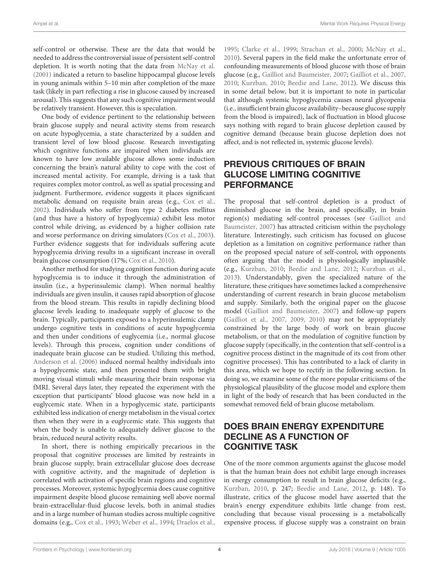self-control or otherwise. These are the data that would be needed to address the controversial issue of persistent self-control depletion. It is worth noting that the data from [McNay et al.](#page-9-14) [\(2001\)](#page-9-14) indicated a return to baseline hippocampal glucose levels in young animals within 5–10 min after completion of the maze task (likely in part reflecting a rise in glucose caused by increased arousal). This suggests that any such cognitive impairment would be relatively transient. However, this is speculation.

One body of evidence pertinent to the relationship between brain glucose supply and neural activity stems from research on acute hypoglycemia, a state characterized by a sudden and transient level of low blood glucose. Research investigating which cognitive functions are impaired when individuals are known to have low available glucose allows some induction concerning the brain's natural ability to cope with the cost of increased mental activity. For example, driving is a task that requires complex motor control, as well as spatial processing and judgment. Furthermore, evidence suggests it places significant metabolic demand on requisite brain areas (e.g., [Cox et al.,](#page-8-14) [2002\)](#page-8-14). Individuals who suffer from type 2 diabetes mellitus (and thus have a history of hypoglycemia) exhibit less motor control while driving, as evidenced by a higher collision rate and worse performance on driving simulators [\(Cox et al.,](#page-8-15) [2003\)](#page-8-15). Further evidence suggests that for individuals suffering acute hypoglycemia driving results in a significant increase in overall brain glucose consumption (17%; [Cox et al.,](#page-8-16) [2010\)](#page-8-16).

Another method for studying cognition function during acute hypoglycemia is to induce it through the administration of insulin (i.e., a hyperinsulemic clamp). When normal healthy individuals are given insulin, it causes rapid absorption of glucose from the blood stream. This results in rapidly declining blood glucose levels leading to inadequate supply of glucose to the brain. Typically, participants exposed to a hyperinsulemic clamp undergo cognitive tests in conditions of acute hypoglycemia and then under conditions of euglycemia (i.e., normal glucose levels). Through this process, cognition under conditions of inadequate brain glucose can be studied. Utilizing this method, [Anderson et al.](#page-8-17) [\(2006\)](#page-8-17) induced normal healthy individuals into a hypoglycemic state, and then presented them with bright moving visual stimuli while measuring their brain response via fMRI. Several days later, they repeated the experiment with the exception that participants' blood glucose was now held in a euglycemic state. When in a hypoglycemic state, participants exhibited less indication of energy metabolism in the visual cortex then when they were in a euglycemic state. This suggests that when the body is unable to adequately deliver glucose to the brain, reduced neural activity results.

In short, there is nothing empirically precarious in the proposal that cognitive processes are limited by restraints in brain glucose supply; brain extracellular glucose does decrease with cognitive activity, and the magnitude of depletion is correlated with activation of specific brain regions and cognitive processes. Moreover, systemic hypoglycemia does cause cognitive impairment despite blood glucose remaining well above normal brain-extracellular-fluid glucose levels, both in animal studies and in a large number of human studies across multiple cognitive domains (e.g., [Cox et al.,](#page-8-18) [1993;](#page-8-18) [Weber et al.,](#page-10-13) [1994;](#page-10-13) [Draelos et al.,](#page-8-19)

[1995;](#page-8-19) [Clarke et al.,](#page-8-20) [1999;](#page-8-20) [Strachan et al.,](#page-10-14) [2000;](#page-10-14) [McNay et al.,](#page-9-16) [2010\)](#page-9-16). Several papers in the field make the unfortunate error of confounding measurements of blood glucose with those of brain glucose (e.g., [Gailliot and Baumeister,](#page-8-3) [2007;](#page-8-3) [Gailliot et al.,](#page-8-11) [2007,](#page-8-11) [2010;](#page-8-21) [Kurzban,](#page-9-3) [2010;](#page-9-3) [Beedie and Lane,](#page-8-4) [2012\)](#page-8-4). We discuss this in some detail below, but it is important to note in particular that although systemic hypoglycemia causes neural glycopenia (i.e., insufficient brain glucose availability–because glucose supply from the blood is impaired), lack of fluctuation in blood glucose says nothing with regard to brain glucose depletion caused by cognitive demand (because brain glucose depletion does not affect, and is not reflected in, systemic glucose levels).

## PREVIOUS CRITIQUES OF BRAIN GLUCOSE LIMITING COGNITIVE PERFORMANCE

The proposal that self-control depletion is a product of diminished glucose in the brain, and specifically, in brain region(s) mediating self-control processes (see [Gailliot and](#page-8-3) [Baumeister,](#page-8-3) [2007\)](#page-8-3) has attracted criticism within the psychology literature. Interestingly, such criticism has focused on glucose depletion as a limitation on cognitive performance rather than on the proposed special nature of self-control, with opponents often arguing that the model is physiologically implausible (e.g., [Kurzban,](#page-9-3) [2010;](#page-9-3) [Beedie and Lane,](#page-8-4) [2012;](#page-8-4) [Kurzban et al.,](#page-9-4) [2013\)](#page-9-4). Understandably, given the specialized nature of the literature, these critiques have sometimes lacked a comprehensive understanding of current research in brain glucose metabolism and supply. Similarly, both the original paper on the glucose model [\(Gailliot and Baumeister,](#page-8-3) [2007\)](#page-8-3) and follow-up papers [\(Gailliot et al.,](#page-8-11) [2007,](#page-8-11) [2009,](#page-8-22) [2010\)](#page-8-21) may not be appropriately constrained by the large body of work on brain glucose metabolism, or that on the modulation of cognitive function by glucose supply (specifically, in the contention that self-control is a cognitive process distinct in the magnitude of its cost from other cognitive processes). This has contributed to a lack of clarity in this area, which we hope to rectify in the following section. In doing so, we examine some of the more popular criticisms of the physiological plausibility of the glucose model and explore them in light of the body of research that has been conducted in the somewhat removed field of brain glucose metabolism.

# DOES BRAIN ENERGY EXPENDITURE DECLINE AS A FUNCTION OF COGNITIVE TASK

One of the more common arguments against the glucose model is that the human brain does not exhibit large enough increases in energy consumption to result in brain glucose deficits (e.g., [Kurzban,](#page-9-3) [2010,](#page-9-3) p. 247; [Beedie and Lane,](#page-8-4) [2012,](#page-8-4) p. 148). To illustrate, critics of the glucose model have asserted that the brain's energy expenditure exhibits little change from rest, concluding that because visual processing is a metabolically expensive process, if glucose supply was a constraint on brain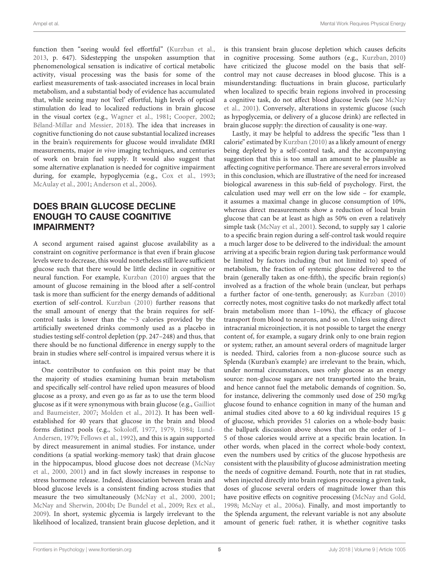function then "seeing would feel effortful" [\(Kurzban et al.,](#page-9-4) [2013,](#page-9-4) p. 647). Sidestepping the unspoken assumption that phenomenological sensation is indicative of cortical metabolic activity, visual processing was the basis for some of the earliest measurements of task-associated increases in local brain metabolism, and a substantial body of evidence has accumulated that, while seeing may not 'feel' effortful, high levels of optical stimulation do lead to localized reductions in brain glucose in the visual cortex (e.g., [Wagner et al.,](#page-10-15) [1981;](#page-10-15) [Cooper,](#page-8-23) [2002;](#page-8-23) [Béland-Millar and Messier,](#page-8-24) [2018\)](#page-8-24). The idea that increases in cognitive functioning do not cause substantial localized increases in the brain's requirements for glucose would invalidate fMRI measurements, major in vivo imaging techniques, and centuries of work on brain fuel supply. It would also suggest that some alternative explanation is needed for cognitive impairment during, for example, hypoglycemia (e.g., [Cox et al.,](#page-8-18) [1993;](#page-8-18) [McAulay et al.,](#page-9-17) [2001;](#page-9-17) [Anderson et al.,](#page-8-17) [2006\)](#page-8-17).

### DOES BRAIN GLUCOSE DECLINE ENOUGH TO CAUSE COGNITIVE IMPAIRMENT?

A second argument raised against glucose availability as a constraint on cognitive performance is that even if brain glucose levels were to decrease, this would nonetheless still leave sufficient glucose such that there would be little decline in cognitive or neural function. For example, [Kurzban](#page-9-3) [\(2010\)](#page-9-3) argues that the amount of glucose remaining in the blood after a self-control task is more than sufficient for the energy demands of additional exertion of self-control. [Kurzban](#page-9-3) [\(2010\)](#page-9-3) further reasons that the small amount of energy that the brain requires for selfcontrol tasks is lower than the ∼3 calories provided by the artificially sweetened drinks commonly used as a placebo in studies testing self-control depletion (pp. 247–248) and thus, that there should be no functional difference in energy supply to the brain in studies where self-control is impaired versus where it is intact.

One contributor to confusion on this point may be that the majority of studies examining human brain metabolism and specifically self-control have relied upon measures of blood glucose as a proxy, and even go as far as to use the term blood glucose as if it were synonymous with brain glucose (e.g., [Gailliot](#page-8-3) [and Baumeister,](#page-8-3) [2007;](#page-8-3) [Molden et al.,](#page-9-18) [2012\)](#page-9-18). It has been wellestablished for 40 years that glucose in the brain and blood forms distinct pools (e.g., [Sokoloff,](#page-10-2) [1977,](#page-10-2) [1979,](#page-10-3) [1984;](#page-10-9) [Lund-](#page-9-1)[Andersen,](#page-9-1) [1979;](#page-9-1) [Fellows et al.,](#page-8-25) [1992\)](#page-8-25), and this is again supported by direct measurement in animal studies. For instance, under conditions (a spatial working-memory task) that drain glucose in the hippocampus, blood glucose does not decrease [\(McNay](#page-9-12) [et al.,](#page-9-12) [2000,](#page-9-12) [2001\)](#page-9-14) and in fact slowly increases in response to stress hormone release. Indeed, dissociation between brain and blood glucose levels is a consistent finding across studies that measure the two simultaneously [\(McNay et al.,](#page-9-12) [2000,](#page-9-12) [2001;](#page-9-14) [McNay and Sherwin,](#page-9-19) [2004b;](#page-9-19) [De Bundel et al.,](#page-8-13) [2009;](#page-8-13) [Rex et al.,](#page-10-10) [2009\)](#page-10-10). In short, systemic glycemia is largely irrelevant to the likelihood of localized, transient brain glucose depletion, and it

is this transient brain glucose depletion which causes deficits in cognitive processing. Some authors (e.g., [Kurzban,](#page-9-3) [2010\)](#page-9-3) have criticized the glucose model on the basis that selfcontrol may not cause decreases in blood glucose. This is a misunderstanding: fluctuations in brain glucose, particularly when localized to specific brain regions involved in processing a cognitive task, do not affect blood glucose levels (see [McNay](#page-9-14) [et al.,](#page-9-14) [2001\)](#page-9-14). Conversely, alterations in systemic glucose (such as hypoglycemia, or delivery of a glucose drink) are reflected in brain glucose supply: the direction of causality is one-way.

Lastly, it may be helpful to address the specific "less than 1 calorie" estimated by [Kurzban](#page-9-3) [\(2010\)](#page-9-3) as a likely amount of energy being depleted by a self-control task, and the accompanying suggestion that this is too small an amount to be plausible as affecting cognitive performance. There are several errors involved in this conclusion, which are illustrative of the need for increased biological awareness in this sub-field of psychology. First, the calculation used may well err on the low side – for example, it assumes a maximal change in glucose consumption of 10%, whereas direct measurements show a reduction of local brain glucose that can be at least as high as 50% on even a relatively simple task [\(McNay et al.,](#page-9-14) [2001\)](#page-9-14). Second, to supply say 1 calorie to a specific brain region during a self-control task would require a much larger dose to be delivered to the individual: the amount arriving at a specific brain region during task performance would be limited by factors including (but not limited to) speed of metabolism, the fraction of systemic glucose delivered to the brain (generally taken as one-fifth), the specific brain region(s) involved as a fraction of the whole brain (unclear, but perhaps a further factor of one-tenth, generously; as [Kurzban](#page-9-3) [\(2010\)](#page-9-3) correctly notes, most cognitive tasks do not markedly affect total brain metabolism more than 1–10%), the efficacy of glucose transport from blood to neurons, and so on. Unless using direct intracranial microinjection, it is not possible to target the energy content of, for example, a sugary drink only to one brain region or system; rather, an amount several orders of magnitude larger is needed. Third, calories from a non-glucose source such as Splenda (Kurzban's example) are irrelevant to the brain, which, under normal circumstances, uses only glucose as an energy source: non-glucose sugars are not transported into the brain, and hence cannot fuel the metabolic demands of cognition. So, for instance, delivering the commonly used dose of 250 mg/kg glucose found to enhance cognition in many of the human and animal studies cited above to a 60 kg individual requires 15 g of glucose, which provides 51 calories on a whole-body basis: the ballpark discussion above shows that on the order of 1– 5 of those calories would arrive at a specific brain location. In other words, when placed in the correct whole-body context, even the numbers used by critics of the glucose hypothesis are consistent with the plausibility of glucose administration meeting the needs of cognitive demand. Fourth, note that in rat studies, when injected directly into brain regions processing a given task, doses of glucose several orders of magnitude lower than this have positive effects on cognitive processing [\(McNay and Gold,](#page-9-20) [1998;](#page-9-20) [McNay et al.,](#page-9-21) [2006a\)](#page-9-21). Finally, and most importantly to the Splenda argument, the relevant variable is not any absolute amount of generic fuel: rather, it is whether cognitive tasks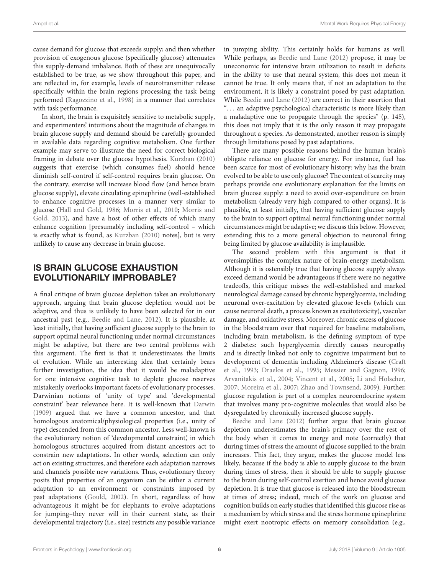cause demand for glucose that exceeds supply; and then whether provision of exogenous glucose (specifically glucose) attenuates this supply-demand imbalance. Both of these are unequivocally established to be true, as we show throughout this paper, and are reflected in, for example, levels of neurotransmitter release specifically within the brain regions processing the task being performed [\(Ragozzino et al.,](#page-10-16) [1998\)](#page-10-16) in a manner that correlates with task performance.

In short, the brain is exquisitely sensitive to metabolic supply, and experimenters' intuitions about the magnitude of changes in brain glucose supply and demand should be carefully grounded in available data regarding cognitive metabolism. One further example may serve to illustrate the need for correct biological framing in debate over the glucose hypothesis. [Kurzban](#page-9-3) [\(2010\)](#page-9-3) suggests that exercise (which consumes fuel) should hence diminish self-control if self-control requires brain glucose. On the contrary, exercise will increase blood flow (and hence brain glucose supply), elevate circulating epinephrine (well-established to enhance cognitive processes in a manner very similar to glucose [\(Hall and Gold,](#page-9-22) [1986;](#page-9-22) [Morris et al.,](#page-10-17) [2010;](#page-10-17) [Morris and](#page-10-18) [Gold,](#page-10-18) [2013\)](#page-10-18), and have a host of other effects of which many enhance cognition [presumably including self-control – which is exactly what is found, as [Kurzban](#page-9-3) [\(2010\)](#page-9-3) notes], but is very unlikely to cause any decrease in brain glucose.

## IS BRAIN GLUCOSE EXHAUSTION EVOLUTIONARILY IMPROBABLE?

A final critique of brain glucose depletion takes an evolutionary approach, arguing that brain glucose depletion would not be adaptive, and thus is unlikely to have been selected for in our ancestral past (e.g., [Beedie and Lane,](#page-8-4) [2012\)](#page-8-4). It is plausible, at least initially, that having sufficient glucose supply to the brain to support optimal neural functioning under normal circumstances might be adaptive, but there are two central problems with this argument. The first is that it underestimates the limits of evolution. While an interesting idea that certainly bears further investigation, the idea that it would be maladaptive for one intensive cognitive task to deplete glucose reserves mistakenly overlooks important facets of evolutionary processes. Darwinian notions of 'unity of type' and 'developmental constraint' bear relevance here. It is well-known that [Darwin](#page-8-26) [\(1909\)](#page-8-26) argued that we have a common ancestor, and that homologous anatomical/physiological properties (i.e., unity of type) descended from this common ancestor. Less well-known is the evolutionary notion of 'developmental constraint,' in which homologous structures acquired from distant ancestors act to constrain new adaptations. In other words, selection can only act on existing structures, and therefore each adaptation narrows and channels possible new variations. Thus, evolutionary theory posits that properties of an organism can be either a current adaptation to an environment or constraints imposed by past adaptations [\(Gould,](#page-9-23) [2002\)](#page-9-23). In short, regardless of how advantageous it might be for elephants to evolve adaptations for jumping–they never will in their current state, as their developmental trajectory (i.e., size) restricts any possible variance

in jumping ability. This certainly holds for humans as well. While perhaps, as [Beedie and Lane](#page-8-4) [\(2012\)](#page-8-4) propose, it may be uneconomic for intensive brain utilization to result in deficits in the ability to use that neural system, this does not mean it cannot be true. It only means that, if not an adaptation to the environment, it is likely a constraint posed by past adaptation. While [Beedie and Lane](#page-8-4) [\(2012\)](#page-8-4) are correct in their assertion that ". . . an adaptive psychological characteristic is more likely than a maladaptive one to propagate through the species" (p. 145), this does not imply that it is the only reason it may propagate throughout a species. As demonstrated, another reason is simply through limitations posed by past adaptations.

There are many possible reasons behind the human brain's obligate reliance on glucose for energy. For instance, fuel has been scarce for most of evolutionary history: why has the brain evolved to be able to use only glucose? The context of scarcity may perhaps provide one evolutionary explanation for the limits on brain glucose supply: a need to avoid over-expenditure on brain metabolism (already very high compared to other organs). It is plausible, at least initially, that having sufficient glucose supply to the brain to support optimal neural functioning under normal circumstances might be adaptive; we discuss this below. However, extending this to a more general objection to neuronal firing being limited by glucose availability is implausible.

The second problem with this argument is that it oversimplifies the complex nature of brain-energy metabolism. Although it is ostensibly true that having glucose supply always exceed demand would be advantageous if there were no negative tradeoffs, this critique misses the well-established and marked neurological damage caused by chronic hyperglycemia, including neuronal over-excitation by elevated glucose levels (which can cause neuronal death, a process known as excitotoxicity), vascular damage, and oxidative stress. Moreover, chronic excess of glucose in the bloodstream over that required for baseline metabolism, including brain metabolism, is the defining symptom of type 2 diabetes: such hyperglycemia directly causes neuropathy and is directly linked not only to cognitive impairment but to development of dementia including Alzheimer's disease [\(Craft](#page-8-27) [et al.,](#page-8-27) [1993;](#page-8-27) [Draelos et al.,](#page-8-19) [1995;](#page-8-19) [Messier and Gagnon,](#page-9-24) [1996;](#page-9-24) [Arvanitakis et al.,](#page-8-28) [2004;](#page-8-28) [Vincent et al.,](#page-10-19) [2005;](#page-10-19) [Li and Holscher,](#page-9-25) [2007;](#page-9-25) [Moreira et al.,](#page-9-26) [2007;](#page-9-26) [Zhao and Townsend,](#page-10-20) [2009\)](#page-10-20). Further, glucose regulation is part of a complex neuroendocrine system that involves many pro-cognitive molecules that would also be dysregulated by chronically increased glucose supply.

[Beedie and Lane](#page-8-4) [\(2012\)](#page-8-4) further argue that brain glucose depletion underestimates the brain's primacy over the rest of the body when it comes to energy and note (correctly) that during times of stress the amount of glucose supplied to the brain increases. This fact, they argue, makes the glucose model less likely, because if the body is able to supply glucose to the brain during times of stress, then it should be able to supply glucose to the brain during self-control exertion and hence avoid glucose depletion. It is true that glucose is released into the bloodstream at times of stress; indeed, much of the work on glucose and cognition builds on early studies that identified this glucose rise as a mechanism by which stress and the stress hormone epinephrine might exert nootropic effects on memory consolidation (e.g.,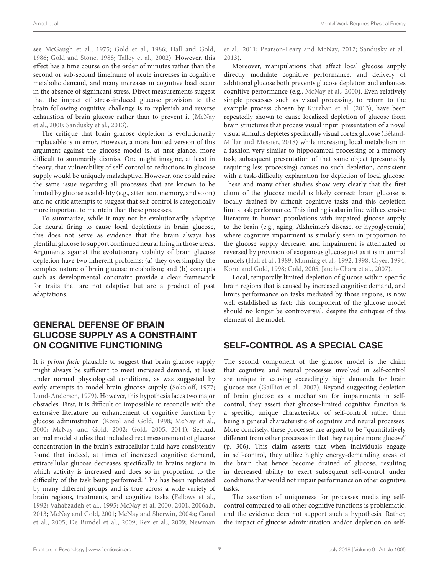see [McGaugh et al.,](#page-9-27) [1975;](#page-9-27) [Gold et al.,](#page-9-11) [1986;](#page-9-11) [Hall and Gold,](#page-9-22) [1986;](#page-9-22) [Gold and Stone,](#page-9-28) [1988;](#page-9-28) [Talley et al.,](#page-10-21) [2002\)](#page-10-21). However, this effect has a time course on the order of minutes rather than the second or sub-second timeframe of acute increases in cognitive metabolic demand, and many increases in cognitive load occur in the absence of significant stress. Direct measurements suggest that the impact of stress-induced glucose provision to the brain following cognitive challenge is to replenish and reverse exhaustion of brain glucose rather than to prevent it [\(McNay](#page-9-12) [et al.,](#page-9-12) [2000;](#page-9-12) [Sandusky et al.,](#page-10-12) [2013\)](#page-10-12).

The critique that brain glucose depletion is evolutionarily implausible is in error. However, a more limited version of this argument against the glucose model is, at first glance, more difficult to summarily dismiss. One might imagine, at least in theory, that vulnerability of self-control to reductions in glucose supply would be uniquely maladaptive. However, one could raise the same issue regarding all processes that are known to be limited by glucose availability (e.g., attention, memory, and so on) and no critic attempts to suggest that self-control is categorically more important to maintain than these processes.

To summarize, while it may not be evolutionarily adaptive for neural firing to cause local depletions in brain glucose, this does not serve as evidence that the brain always has plentiful glucose to support continued neural firing in those areas. Arguments against the evolutionary viability of brain glucose depletion have two inherent problems: (a) they oversimplify the complex nature of brain glucose metabolism; and (b) concepts such as developmental constraint provide a clear framework for traits that are not adaptive but are a product of past adaptations.

#### GENERAL DEFENSE OF BRAIN GLUCOSE SUPPLY AS A CONSTRAINT ON COGNITIVE FUNCTIONING

It is prima facie plausible to suggest that brain glucose supply might always be sufficient to meet increased demand, at least under normal physiological conditions, as was suggested by early attempts to model brain glucose supply [\(Sokoloff,](#page-10-2) [1977;](#page-10-2) [Lund-Andersen,](#page-9-1) [1979\)](#page-9-1). However, this hypothesis faces two major obstacles. First, it is difficult or impossible to reconcile with the extensive literature on enhancement of cognitive function by glucose administration [\(Korol and Gold,](#page-9-29) [1998;](#page-9-29) [McNay et al.,](#page-9-12) [2000;](#page-9-12) [McNay and Gold,](#page-9-13) [2002;](#page-9-13) [Gold,](#page-8-29) [2005,](#page-8-29) [2014\)](#page-8-30). Second, animal model studies that include direct measurement of glucose concentration in the brain's extracellular fluid have consistently found that indeed, at times of increased cognitive demand, extracellular glucose decreases specifically in brains regions in which activity is increased and does so in proportion to the difficulty of the task being performed. This has been replicated by many different groups and is true across a wide variety of brain regions, treatments, and cognitive tasks [\(Fellows et al.,](#page-8-25) [1992;](#page-8-25) [Vahabzadeh et al.,](#page-10-22) [1995;](#page-10-22) [McNay et al.](#page-9-12) [2000,](#page-9-12) [2001,](#page-9-14) [2006a,](#page-9-21)b, [2013;](#page-9-30) [McNay and Gold,](#page-9-15) [2001;](#page-9-15) [McNay and Sherwin,](#page-9-31) [2004a;](#page-9-31) [Canal](#page-8-31) [et al.,](#page-8-31) [2005;](#page-8-31) [De Bundel et al.,](#page-8-13) [2009;](#page-8-13) [Rex et al.,](#page-10-10) [2009;](#page-10-10) [Newman](#page-10-11)

[et al.,](#page-10-11) [2011;](#page-10-11) [Pearson-Leary and McNay,](#page-10-23) [2012;](#page-10-23) [Sandusky et al.,](#page-10-12) [2013\)](#page-10-12).

Moreover, manipulations that affect local glucose supply directly modulate cognitive performance, and delivery of additional glucose both prevents glucose depletion and enhances cognitive performance (e.g., [McNay et al.,](#page-9-12) [2000\)](#page-9-12). Even relatively simple processes such as visual processing, to return to the example process chosen by [Kurzban et al.](#page-9-4) [\(2013\)](#page-9-4), have been repeatedly shown to cause localized depletion of glucose from brain structures that process visual input: presentation of a novel visual stimulus depletes specifically visual cortex glucose [\(Béland-](#page-8-24)[Millar and Messier,](#page-8-24) [2018\)](#page-8-24) while increasing local metabolism in a fashion very similar to hippocampal processing of a memory task; subsequent presentation of that same object (presumably requiring less processing) causes no such depletion, consistent with a task-difficulty explanation for depletion of local glucose. These and many other studies show very clearly that the first claim of the glucose model is likely correct: brain glucose is locally drained by difficult cognitive tasks and this depletion limits task performance. This finding is also in line with extensive literature in human populations with impaired glucose supply to the brain (e.g., aging, Alzheimer's disease, or hypoglycemia) where cognitive impairment is similarly seen in proportion to the glucose supply decrease, and impairment is attenuated or reversed by provision of exogenous glucose just as it is in animal models [\(Hall et al.,](#page-9-32) [1989;](#page-9-32) [Manning et al.,](#page-9-33) [1992,](#page-9-33) [1998;](#page-9-34) [Cryer,](#page-8-32) [1994;](#page-8-32) [Korol and Gold,](#page-9-29) [1998;](#page-9-29) [Gold,](#page-8-29) [2005;](#page-8-29) [Jauch-Chara et al.,](#page-9-35) [2007\)](#page-9-35).

Local, temporally limited depletion of glucose within specific brain regions that is caused by increased cognitive demand, and limits performance on tasks mediated by those regions, is now well established as fact: this component of the glucose model should no longer be controversial, despite the critiques of this element of the model.

## SELF-CONTROL AS A SPECIAL CASE

The second component of the glucose model is the claim that cognitive and neural processes involved in self-control are unique in causing exceedingly high demands for brain glucose use [\(Gailliot et al.,](#page-8-11) [2007\)](#page-8-11). Beyond suggesting depletion of brain glucose as a mechanism for impairments in selfcontrol, they assert that glucose-limited cognitive function is a specific, unique characteristic of self-control rather than being a general characteristic of cognitive and neural processes. More concisely, these processes are argued to be "quantitatively different from other processes in that they require more glucose" (p. 306). This claim asserts that when individuals engage in self-control, they utilize highly energy-demanding areas of the brain that hence become drained of glucose, resulting in decreased ability to exert subsequent self-control under conditions that would not impair performance on other cognitive tasks.

The assertion of uniqueness for processes mediating selfcontrol compared to all other cognitive functions is problematic, and the evidence does not support such a hypothesis. Rather, the impact of glucose administration and/or depletion on self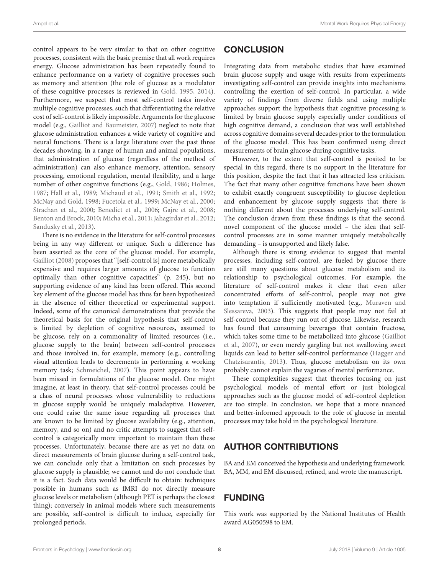control appears to be very similar to that on other cognitive processes, consistent with the basic premise that all work requires energy. Glucose administration has been repeatedly found to enhance performance on a variety of cognitive processes such as memory and attention (the role of glucose as a modulator of these cognitive processes is reviewed in [Gold,](#page-8-33) [1995,](#page-8-33) [2014\)](#page-8-30). Furthermore, we suspect that most self-control tasks involve multiple cognitive processes, such that differentiating the relative cost of self-control is likely impossible. Arguments for the glucose model (e.g., [Gailliot and Baumeister,](#page-8-3) [2007\)](#page-8-3) neglect to note that glucose administration enhances a wide variety of cognitive and neural functions. There is a large literature over the past three decades showing, in a range of human and animal populations, that administration of glucose (regardless of the method of administration) can also enhance memory, attention, sensory processing, emotional regulation, mental flexibility, and a large number of other cognitive functions (e.g., [Gold,](#page-8-34) [1986;](#page-8-34) [Holmes,](#page-9-36) [1987;](#page-9-36) [Hall et al.,](#page-9-32) [1989;](#page-9-32) [Michaud et al.,](#page-9-37) [1991;](#page-9-37) [Smith et al.,](#page-10-24) [1992;](#page-10-24) [McNay and Gold,](#page-9-20) [1998;](#page-9-20) [Fucetola et al.,](#page-8-35) [1999;](#page-8-35) [McNay et al.,](#page-9-12) [2000;](#page-9-12) [Strachan et al.,](#page-10-14) [2000;](#page-10-14) [Benedict et al.,](#page-8-36) [2006;](#page-8-36) [Gajre et al.,](#page-8-37) [2008;](#page-8-37) [Benton and Brock,](#page-8-38) [2010;](#page-8-38) [Micha et al.,](#page-9-38) [2011;](#page-9-38) [Jahagirdar et al.,](#page-9-39) [2012;](#page-9-39) [Sandusky et al.,](#page-10-12) [2013\)](#page-10-12).

There is no evidence in the literature for self-control processes being in any way different or unique. Such a difference has been asserted as the core of the glucose model. For example, [Gailliot](#page-8-39) [\(2008\)](#page-8-39) proposes that "[self-control is] more metabolically expensive and requires larger amounts of glucose to function optimally than other cognitive capacities" (p. 245), but no supporting evidence of any kind has been offered. This second key element of the glucose model has thus far been hypothesized in the absence of either theoretical or experimental support. Indeed, some of the canonical demonstrations that provide the theoretical basis for the original hypothesis that self-control is limited by depletion of cognitive resources, assumed to be glucose, rely on a commonality of limited resources (i.e., glucose supply to the brain) between self-control processes and those involved in, for example, memory (e.g., controlling visual attention leads to decrements in performing a working memory task; [Schmeichel,](#page-10-25) [2007\)](#page-10-25). This point appears to have been missed in formulations of the glucose model. One might imagine, at least in theory, that self-control processes could be a class of neural processes whose vulnerability to reductions in glucose supply would be uniquely maladaptive. However, one could raise the same issue regarding all processes that are known to be limited by glucose availability (e.g., attention, memory, and so on) and no critic attempts to suggest that selfcontrol is categorically more important to maintain than these processes. Unfortunately, because there are as yet no data on direct measurements of brain glucose during a self-control task, we can conclude only that a limitation on such processes by glucose supply is plausible; we cannot and do not conclude that it is a fact. Such data would be difficult to obtain: techniques possible in humans such as fMRI do not directly measure glucose levels or metabolism (although PET is perhaps the closest thing); conversely in animal models where such measurements are possible, self-control is difficult to induce, especially for prolonged periods.

#### **CONCLUSION**

Integrating data from metabolic studies that have examined brain glucose supply and usage with results from experiments investigating self-control can provide insights into mechanisms controlling the exertion of self-control. In particular, a wide variety of findings from diverse fields and using multiple approaches support the hypothesis that cognitive processing is limited by brain glucose supply especially under conditions of high cognitive demand, a conclusion that was well established across cognitive domains several decades prior to the formulation of the glucose model. This has been confirmed using direct measurements of brain glucose during cognitive tasks.

However, to the extent that self-control is posited to be special in this regard, there is no support in the literature for this position, despite the fact that it has attracted less criticism. The fact that many other cognitive functions have been shown to exhibit exactly congruent susceptibility to glucose depletion and enhancement by glucose supply suggests that there is nothing different about the processes underlying self-control. The conclusion drawn from these findings is that the second, novel component of the glucose model – the idea that selfcontrol processes are in some manner uniquely metabolically demanding – is unsupported and likely false.

Although there is strong evidence to suggest that mental processes, including self-control, are fueled by glucose there are still many questions about glucose metabolism and its relationship to psychological outcomes. For example, the literature of self-control makes it clear that even after concentrated efforts of self-control, people may not give into temptation if sufficiently motivated (e.g., [Muraven and](#page-10-26) [Slessareva,](#page-10-26) [2003\)](#page-10-26). This suggests that people may not fail at self-control because they run out of glucose. Likewise, research has found that consuming beverages that contain fructose, which takes some time to be metabolized into glucose [\(Gailliot](#page-8-11) [et al.,](#page-8-11) [2007\)](#page-8-11), or even merely gargling but not swallowing sweet liquids can lead to better self-control performance [\(Hagger and](#page-9-6) [Chatzisarantis,](#page-9-6) [2013\)](#page-9-6). Thus, glucose metabolism on its own probably cannot explain the vagaries of mental performance.

These complexities suggest that theories focusing on just psychological models of mental effort or just biological approaches such as the glucose model of self-control depletion are too simple. In conclusion, we hope that a more nuanced and better-informed approach to the role of glucose in mental processes may take hold in the psychological literature.

## AUTHOR CONTRIBUTIONS

BA and EM conceived the hypothesis and underlying framework. BA, MM, and EM discussed, refined, and wrote the manuscript.

## FUNDING

This work was supported by the National Institutes of Health award AG050598 to EM.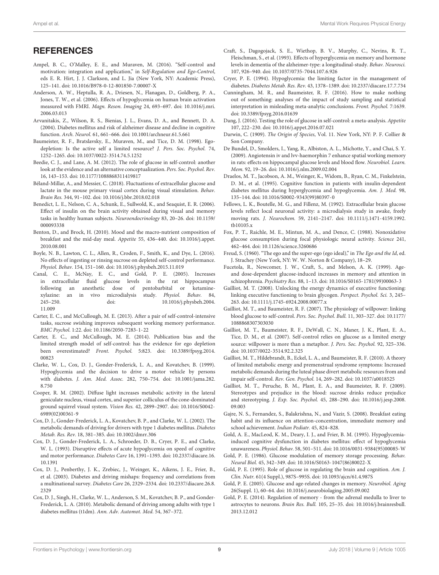### **REFERENCES**

- <span id="page-8-7"></span>Ampel, B. C., O'Malley, E. E., and Muraven, M. (2016). "Self-control and motivation: integration and application," in Self-Regulation and Ego-Control, eds E. R. Hirt, J. J. Clarkson, and L. Jia (New York, NY: Academic Press), 125–141. [doi: 10.1016/B978-0-12-801850-7.00007-X](https://doi.org/10.1016/B978-0-12-801850-7.00007-X)
- <span id="page-8-17"></span>Anderson, A. W., Heptulla, R. A., Driesen, N., Flanagan, D., Goldberg, P. A., Jones, T. W., et al. (2006). Effects of hypoglycemia on human brain activation measured with FMRI. Magn. Reson. Imaging 24, 693–697. [doi: 10.1016/j.mri.](https://doi.org/10.1016/j.mri.2006.03.013) [2006.03.013](https://doi.org/10.1016/j.mri.2006.03.013)
- <span id="page-8-28"></span>Arvanitakis, Z., Wilson, R. S., Bienias, J. L., Evans, D. A., and Bennett, D. A. (2004). Diabetes mellitus and risk of alzheimer disease and decline in cognitive function. Arch. Neurol. 61, 661–666. [doi: 10.1001/archneur.61.5.661](https://doi.org/10.1001/archneur.61.5.661)
- <span id="page-8-2"></span>Baumeister, R. F., Bratslavsky, E., Muraven, M., and Tice, D. M. (1998). Egodepletion: Is the active self a limited resource? J. Pers. Soc. Psychol. 74, 1252–1265. [doi: 10.1037/0022-3514.74.5.1252](https://doi.org/10.1037/0022-3514.74.5.1252)
- <span id="page-8-4"></span>Beedie, C. J., and Lane, A. M. (2012). The role of glucose in self-control: another look at the evidence and an alternative conceptualization. Pers. Soc. Psychol. Rev. 16, 143–153. [doi: 10.1177/1088868311419817](https://doi.org/10.1177/1088868311419817)
- <span id="page-8-24"></span>Béland-Millar, A., and Messier, C. (2018). Fluctuations of extracellular glucose and lactate in the mouse primary visual cortex during visual stimulation. Behav. Brain Res. 344, 91–102. [doi: 10.1016/j.bbr.2018.02.018](https://doi.org/10.1016/j.bbr.2018.02.018)
- <span id="page-8-36"></span>Benedict, L. E., Nelson, C. A., Schunk, E., Sullwold, K., and Seaquist, E. R. (2006). Effect of insulin on the brain activity obtained during visual and memory tasks in healthy human subjects. Neuroendocrinology 83, 20–26. [doi: 10.1159/](https://doi.org/10.1159/000093338) [000093338](https://doi.org/10.1159/000093338)
- <span id="page-8-38"></span>Benton, D., and Brock, H. (2010). Mood and the macro-nutrient composition of breakfast and the mid-day meal. Appetite 55, 436–440. [doi: 10.1016/j.appet.](https://doi.org/10.1016/j.appet.2010.08.001) [2010.08.001](https://doi.org/10.1016/j.appet.2010.08.001)
- <span id="page-8-9"></span>Boyle, N. B., Lawton, C. L., Allen, R., Croden, F., Smith, K., and Dye, L. (2016). No effects of ingesting or rinsing sucrose on depleted self-control performance. Physiol. Behav. 154, 151–160. [doi: 10.1016/j.physbeh.2015.11.019](https://doi.org/10.1016/j.physbeh.2015.11.019)
- <span id="page-8-31"></span>Canal, C. E., McNay, E. C., and Gold, P. E. (2005). Increases in extracellular fluid glucose levels in the rat hippocampus following an anesthetic dose of pentobarbital or ketaminexylazine: an in vivo microdialysis study. Physiol. Behav. 84, 245–250. [doi: 10.1016/j.physbeh.2004.](https://doi.org/10.1016/j.physbeh.2004.11.009) [11.009](https://doi.org/10.1016/j.physbeh.2004.11.009)
- <span id="page-8-8"></span>Carter, E. C., and McCullough, M. E. (2013). After a pair of self-control-intensive tasks, sucrose swishing improves subsequent working memory performance. BMC Psychol. 1:22. [doi: 10.1186/2050-7283-1-22](https://doi.org/10.1186/2050-7283-1-22)
- <span id="page-8-5"></span>Carter, E. C., and McCullough, M. E. (2014). Publication bias and the limited strength model of self-control: has the evidence for ego depletion been overestimated? Front. Psychol. 5:823. [doi: 10.3389/fpsyg.2014.](https://doi.org/10.3389/fpsyg.2014.00823) [00823](https://doi.org/10.3389/fpsyg.2014.00823)
- <span id="page-8-20"></span>Clarke, W. L., Cox, D. J., Gonder-Frederick, L. A., and Kovatchev, B. (1999). Hypoglycemia and the decision to drive a motor vehicle by persons with diabetes. J. Am. Med. Assoc. 282, 750–754. [doi: 10.1001/jama.282.](https://doi.org/10.1001/jama.282.8.750) [8.750](https://doi.org/10.1001/jama.282.8.750)
- <span id="page-8-23"></span>Cooper, R. M. (2002). Diffuse light increases metabolic activity in the lateral geniculate nucleus, visual cortex, and superior colliculus of the cone-dominated ground squirrel visual system. Vision Res. 42, 2899–2907. [doi: 10.1016/S0042-](https://doi.org/10.1016/S0042-6989(02)00361-9) [6989\(02\)00361-9](https://doi.org/10.1016/S0042-6989(02)00361-9)
- <span id="page-8-14"></span>Cox, D. J., Gonder-Frederick, L. A., Kovatchev, B. P., and Clarke, W. L. (2002). The metabolic demands of driving for drivers with type 1 diabetes mellitus. Diabetes Metab. Res. Rev. 18, 381–385. [doi: 10.1002/dmrr.306](https://doi.org/10.1002/dmrr.306)
- <span id="page-8-18"></span>Cox, D. J., Gonder-Frederick, L. A., Schroeder, D. B., Cryer, P. E., and Clarke, W. L. (1993). Disruptive effects of acute hypoglycemia on speed of cognitive and motor performance. Diabetes Care 16, 1391–1393. [doi: 10.2337/diacare.16.](https://doi.org/10.2337/diacare.16.10.1391) [10.1391](https://doi.org/10.2337/diacare.16.10.1391)
- <span id="page-8-15"></span>Cox, D. J., Penberthy, J. K., Zrebiec, J., Weinger, K., Aikens, J. E., Frier, B., et al. (2003). Diabetes and driving mishaps: frequency and correlations from a multinational survey. Diabetes Care 26, 2329–2334. [doi: 10.2337/diacare.26.8.](https://doi.org/10.2337/diacare.26.8.2329) [2329](https://doi.org/10.2337/diacare.26.8.2329)
- <span id="page-8-16"></span>Cox, D. J., Singh, H., Clarke, W. L., Anderson, S. M., Kovatchev, B. P., and Gonder-Frederick, L. A. (2010). Metabolic demand of driving among adults with type 1 diabetes mellitus (t1dm). Ann. Adv. Automot. Med. 54, 367–372.
- <span id="page-8-27"></span>Craft, S., Dagogojack, S. E., Wiethop, B. V., Murphy, C., Nevins, R. T., Fleischman, S., et al. (1993). Effects of hyperglycemia on memory and hormone levels in dementia of the alzheimer-type: a longitudinal-study. Behav. Neurosci. 107, 926–940. [doi: 10.1037/0735-7044.107.6.926](https://doi.org/10.1037/0735-7044.107.6.926)
- <span id="page-8-32"></span>Cryer, P. E. (1994). Hypoglycemia: the limiting factor in the management of diabetes. Diabetes Metab. Res. Rev. 43, 1378–1389. [doi: 10.2337/diacare.17.7.734](https://doi.org/10.2337/diacare.17.7.734)
- <span id="page-8-6"></span>Cunningham, M. R., and Baumeister, R. F. (2016). How to make nothing out of something: analyses of the impact of study sampling and statistical interpretation in misleading meta-analytic conclusions. Front. Psychol. 7:1639. [doi: 10.3389/fpsyg.2016.01639](https://doi.org/10.3389/fpsyg.2016.01639)
- <span id="page-8-10"></span>Dang, J. (2016). Testing the role of glucose in self-control: a meta-analysis. Appetite 107, 222–230. [doi: 10.1016/j.appet.2016.07.021](https://doi.org/10.1016/j.appet.2016.07.021)
- <span id="page-8-26"></span>Darwin, C. (1909). The Origin of Species, Vol. 11. New York, NY: P. F. Collier & Son Company.
- <span id="page-8-13"></span>De Bundel, D., Smolders, I., Yang, R., Albiston, A. L., Michotte, Y., and Chai, S. Y. (2009). Angiotensin iv and lvv-haemorphin 7 enhance spatial working memory in rats: effects on hippocampal glucose levels and blood flow. Neurobiol. Learn. Mem. 92, 19–26. [doi: 10.1016/j.nlm.2009.02.004](https://doi.org/10.1016/j.nlm.2009.02.004)
- <span id="page-8-19"></span>Draelos, M. T., Jacobson, A. M., Weinger, K., Widom, B., Ryan, C. M., Finkelstein, D. M., et al. (1995). Cognitive function in patients with insulin-dependent diabetes mellitus during hyperglycemia and hypoglycemia. Am. J. Med. 98, 135–144. [doi: 10.1016/S0002-9343\(99\)80397-0](https://doi.org/10.1016/S0002-9343(99)80397-0)
- <span id="page-8-25"></span>Fellows, L. K., Boutelle, M. G., and Fillenz, M. (1992). Extracellular brain glucose levels reflect local neuronal activity: a microdialysis study in awake, freely moving rats. J. Neurochem. 59, 2141–2147. [doi: 10.1111/j.1471-4159.1992.](https://doi.org/10.1111/j.1471-4159.1992.tb10105.x) [tb10105.x](https://doi.org/10.1111/j.1471-4159.1992.tb10105.x)
- <span id="page-8-1"></span>Fox, P. T., Raichle, M. E., Mintun, M. A., and Dence, C. (1988). Nonoxidative glucose consumption during focal physiologic neural activity. Science 241, 462–464. [doi: 10.1126/science.3260686](https://doi.org/10.1126/science.3260686)
- <span id="page-8-0"></span>Freud, S. (1960). "The ego and the super-ego (ego ideal)," in The Ego and the Id, ed. J. Strachey (New York, NY: W. W. Norton & Company), 18–29.
- <span id="page-8-35"></span>Fucetola, R., Newcomer, J. W., Craft, S., and Melson, A. K. (1999). Ageand dose-dependent glucose-induced increases in memory and attention in schizophrenia. Psychiatry Res. 88, 1–13. [doi: 10.1016/S0165-1781\(99\)00063-3](https://doi.org/10.1016/S0165-1781(99)00063-3)
- <span id="page-8-39"></span>Gailliot, M. T. (2008). Unlocking the energy dynamics of executive functioning: linking executive functioning to brain glycogen. Perspect. Psychol. Sci. 3, 245– 263. [doi: 10.1111/j.1745-6924.2008.00077.x](https://doi.org/10.1111/j.1745-6924.2008.00077.x)
- <span id="page-8-3"></span>Gailliot, M. T., and Baumeister, R. F. (2007). The physiology of willpower: linking blood glucose to self-control. Pers. Soc. Psychol. Bull. 11, 303–327. [doi: 10.1177/](https://doi.org/10.1177/1088868307303030) [1088868307303030](https://doi.org/10.1177/1088868307303030)
- <span id="page-8-11"></span>Gailliot, M. T., Baumeister, R. F., DeWall, C. N., Maner, J. K., Plant, E. A., Tice, D. M., et al. (2007). Self-control relies on glucose as a limited energy source: willpower is more than a metaphor. J. Pers. Soc. Psychol. 92, 325–336. [doi: 10.1037/0022-3514.92.2.325](https://doi.org/10.1037/0022-3514.92.2.325)
- <span id="page-8-21"></span>Gailliot, M. T., Hildebrandt, B., Eckel, L. A., and Baumeister, R. F. (2010). A theory of limited metabolic energy and premenstrual syndrome symptoms: Increased metabolic demands during the luteal phase divert metabolic resources from and impair self-control. Rev. Gen. Psychol. 14, 269–282. [doi: 10.1037/a0018525](https://doi.org/10.1037/a0018525)
- <span id="page-8-22"></span>Gailliot, M. T., Peruche, B. M., Plant, E. A., and Baumeister, R. F. (2009). Stereotypes and prejudice in the blood: sucrose drinks reduce prejudice and stereotyping. J. Exp. Soc. Psychol. 45, 288–290. [doi: 10.1016/j.jesp.2008.](https://doi.org/10.1016/j.jesp.2008.09.003) [09.003](https://doi.org/10.1016/j.jesp.2008.09.003)
- <span id="page-8-37"></span>Gajre, N. S., Fernandez, S., Balakrishna, N., and Vazir, S. (2008). Breakfast eating habit and its influence on attention-concentration, immediate memory and school achievement. Indian Pediatr. 45, 824–828.

<span id="page-8-12"></span>Gold, A. E., MacLeod, K. M., Deary, I. J., and Frier, B. M. (1995). Hypoglycemiainduced cognitive dysfunction in diabetes mellitus: effect of hypoglycemia unawareness. Physiol. Behav. 58, 501–511. [doi: 10.1016/0031-9384\(95\)00085-W](https://doi.org/10.1016/0031-9384(95)00085-W)

- <span id="page-8-34"></span>Gold, P. E. (1986). Glucose modulation of memory storage processing. Behav. Neural Biol. 45, 342–349. [doi: 10.1016/S0163-1047\(86\)80022-X](https://doi.org/10.1016/S0163-1047(86)80022-X)
- <span id="page-8-33"></span>Gold, P. E. (1995). Role of glucose in regulating the brain and cognition. Am. J. Clin. Nutr. 61(4 Suppl.), 987S–995S. [doi: 10.1093/ajcn/61.4.987S](https://doi.org/10.1093/ajcn/61.4.987S)
- <span id="page-8-29"></span>Gold, P. E. (2005). Glucose and age-related changes in memory. Neurobiol. Aging 26(Suppl. 1), 60–64. [doi: 10.1016/j.neurobiolaging.2005.09.002](https://doi.org/10.1016/j.neurobiolaging.2005.09.002)
- <span id="page-8-30"></span>Gold, P. E. (2014). Regulation of memory - from the adrenal medulla to liver to astrocytes to neurons. Brain Res. Bull. 105, 25–35. [doi: 10.1016/j.brainresbull.](https://doi.org/10.1016/j.brainresbull.2013.12.012) [2013.12.012](https://doi.org/10.1016/j.brainresbull.2013.12.012)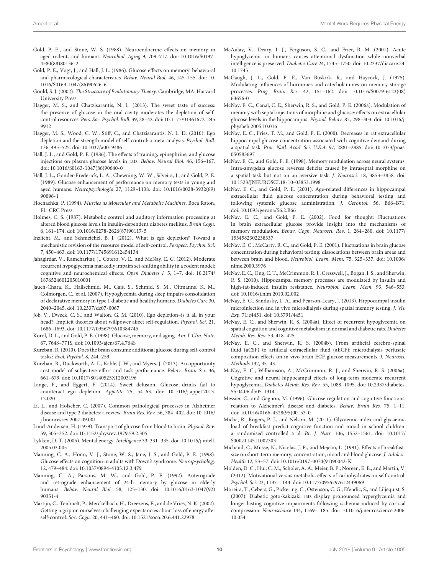- <span id="page-9-28"></span>Gold, P. E., and Stone, W. S. (1988). Neuroendocrine effects on memory in aged rodents and humans. Neurobiol. Aging 9, 709–717. [doi: 10.1016/S0197-](https://doi.org/10.1016/S0197-4580(88)80136-2) [4580\(88\)80136-2](https://doi.org/10.1016/S0197-4580(88)80136-2)
- <span id="page-9-11"></span>Gold, P. E., Vogt, J., and Hall, J. L. (1986). Glucose effects on memory: behavioral and pharmacological characteristics. Behav. Neural Biol. 46, 145–155. [doi: 10.](https://doi.org/10.1016/S0163-1047(86)90626-6) [1016/S0163-1047\(86\)90626-6](https://doi.org/10.1016/S0163-1047(86)90626-6)
- <span id="page-9-23"></span>Gould, S. J. (2002). The Structure of Evolutionary Theory. Cambridge, MA: Harvard University Press.
- <span id="page-9-6"></span>Hagger, M. S., and Chatzisarantis, N. L. (2013). The sweet taste of success: the presence of glucose in the oral cavity moderates the depletion of selfcontrol resources. Pers. Soc. Psychol. Bull. 39, 28–42. [doi: 10.1177/014616721245](https://doi.org/10.1177/0146167212459912) [9912](https://doi.org/10.1177/0146167212459912)
- <span id="page-9-2"></span>Hagger, M. S., Wood, C. W., Stiff, C., and Chatzisarantis, N. L. D. (2010). Ego depletion and the strength model of self-control: a meta-analysis. Psychol. Bull. 136, 495–525. [doi: 10.1037/a0019486](https://doi.org/10.1037/a0019486)
- <span id="page-9-22"></span>Hall, J. L., and Gold, P. E. (1986). The effects of training, epinephrine, and glucose injections on plasma glucose levels in rats. Behav. Neural Biol. 46, 156–167. [doi: 10.1016/S0163-1047\(86\)90640-0](https://doi.org/10.1016/S0163-1047(86)90640-0)
- <span id="page-9-32"></span>Hall, J. L., Gonder-Frederick, L. A., Chewning, W. W., Silveira, J., and Gold, P. E. (1989). Glucose enhancement of performance on memory tests in young and aged humans. Neuropsychologia 27, 1129–1138. [doi: 10.1016/0028-3932\(89\)](https://doi.org/10.1016/0028-3932(89)90096-1) [90096-1](https://doi.org/10.1016/0028-3932(89)90096-1)
- <span id="page-9-10"></span>Hochachka, P. (1994). Muscles as Molecular and Metabolic Machines. Boca Raton, FL: CRC Press.
- <span id="page-9-36"></span>Holmes, C. S. (1987). Metabolic control and auditory information processing at altered blood glucose levels in insulin-dependent diabetes mellitus. Brain Cogn. 6, 161–174. [doi: 10.1016/0278-2626\(87\)90117-5](https://doi.org/10.1016/0278-2626(87)90117-5)
- <span id="page-9-5"></span>Inzlicht, M., and Schmeichel, B. J. (2012). What is ego depletion? Toward a mechanistic revision of the resource model of self-control. Perspect. Psychol. Sci. 7, 450–463. [doi: 10.1177/1745691612454134](https://doi.org/10.1177/1745691612454134)
- <span id="page-9-39"></span>Jahagirdar, V., Ramcharitar, J., Cotero, V. E., and McNay, E. C. (2012). Moderate recurrent hypoglycemia markedly impairs set-shifting ability in a rodent model: cognitive and neurochemical effects. Open Diabetes J. 5, 1–7. [doi: 10.2174/](https://doi.org/10.2174/1876524601205010001) [1876524601205010001](https://doi.org/10.2174/1876524601205010001)
- <span id="page-9-35"></span>Jauch-Chara, K., Hallschmid, M., Gais, S., Schmid, S. M., Oltmanns, K. M., Colmorgen, C., et al. (2007). Hypoglycemia during sleep impairs consolidation of declarative memory in type 1 diabetic and healthy humans. Diabetes Care 30, 2040–2045. [doi: 10.2337/dc07-0067](https://doi.org/10.2337/dc07-0067)
- <span id="page-9-9"></span>Job, V., Dweck, C. S., and Walton, G. M. (2010). Ego depletion–is it all in your head?: Implicit theories about willpower affect self-regulation. Psychol. Sci. 21, 1686–1693. [doi: 10.1177/0956797610384745](https://doi.org/10.1177/0956797610384745)
- <span id="page-9-29"></span>Korol, D. L., and Gold, P. E. (1998). Glucose, memory, and aging. Am. J. Clin. Nutr. 67, 764S–771S. [doi: 10.1093/ajcn/67.4.764S](https://doi.org/10.1093/ajcn/67.4.764S)
- <span id="page-9-3"></span>Kurzban, R. (2010). Does the brain consume additional glucose during self-control tasks? Evol. Psychol. 8, 244–259.
- <span id="page-9-4"></span>Kurzban, R., Duckworth, A. L., Kable, J. W., and Myers, J. (2013). An opportunity cost model of subjective effort and task performance. Behav. Brain Sci. 36, 661–679. [doi: 10.1017/S0140525X12003196](https://doi.org/10.1017/S0140525X12003196)
- <span id="page-9-7"></span>Lange, F., and Eggert, F. (2014). Sweet delusion. Glucose drinks fail to counteract ego depletion. Appetite 75, 54–63. [doi: 10.1016/j.appet.2013.](https://doi.org/10.1016/j.appet.2013.12.020) [12.020](https://doi.org/10.1016/j.appet.2013.12.020)
- <span id="page-9-25"></span>Li, L., and Holscher, C. (2007). Common pathological processes in Alzheimer disease and type 2 diabetes: a review. Brain Res. Rev. 56, 384–402. [doi: 10.1016/](https://doi.org/10.1016/j.brainresrev.2007.09.001) [j.brainresrev.2007.09.001](https://doi.org/10.1016/j.brainresrev.2007.09.001)
- <span id="page-9-1"></span>Lund-Andersen, H. (1979). Transport of glucose from blood to brain. Physiol. Rev. 59, 305–352. [doi: 10.1152/physrev.1979.59.2.305](https://doi.org/10.1152/physrev.1979.59.2.305)
- <span id="page-9-0"></span>Lykken, D. T. (2005). Mental energy. Intelligence 33, 331–335. [doi: 10.1016/j.intell.](https://doi.org/10.1016/j.intell.2005.03.005) [2005.03.005](https://doi.org/10.1016/j.intell.2005.03.005)
- <span id="page-9-34"></span>Manning, C. A., Honn, V. J., Stone, W. S., Jane, J. S., and Gold, P. E. (1998). Glucose effects on cognition in adults with Down's syndrome. Neuropsychology 12, 479–484. [doi: 10.1037/0894-4105.12.3.479](https://doi.org/10.1037/0894-4105.12.3.479)
- <span id="page-9-33"></span>Manning, C. A., Parsons, M. W., and Gold, P. E. (1992). Anterograde and retrograde enhancement of 24-h memory by glucose in elderly humans. Behav. Neural Biol. 58, 125–130. [doi: 10.1016/0163-1047\(92\)](https://doi.org/10.1016/0163-1047(92)90351-4) [90351-4](https://doi.org/10.1016/0163-1047(92)90351-4)
- <span id="page-9-8"></span>Martijn, C., Tenbuelt, P., Merckelbach, H., Dreezens, E., and de Vries, N. K. (2002). Getting a grip on ourselves: challenging expectancies about loss of energy after self-control. Soc. Cogn. 20, 441–460. [doi: 10.1521/soco.20.6.441.22978](https://doi.org/10.1521/soco.20.6.441.22978)
- <span id="page-9-17"></span>McAulay, V., Deary, I. J., Ferguson, S. C., and Frier, B. M. (2001). Acute hypoglycemia in humans causes attentional dysfunction while nonverbal intelligence is preserved. Diabetes Care 24, 1745–1750. [doi: 10.2337/diacare.24.](https://doi.org/10.2337/diacare.24.10.1745) [10.1745](https://doi.org/10.2337/diacare.24.10.1745)
- <span id="page-9-27"></span>McGaugh, J. L., Gold, P. E., Van Buskirk, R., and Haycock, J. (1975). Modulating influences of hormones and catecholamines on memory storage processes. Prog. Brain Res. 42, 151–162. [doi: 10.1016/S0079-6123\(08\)](https://doi.org/10.1016/S0079-6123(08)63656-0) [63656-0](https://doi.org/10.1016/S0079-6123(08)63656-0)
- <span id="page-9-21"></span>McNay, E. C., Canal, C. E., Sherwin, R. S., and Gold, P. E. (2006a). Modulation of memory with septal injections of morphine and glucose: effects on extracellular glucose levels in the hippocampus. Physiol. Behav. 87, 298–303. [doi: 10.1016/j.](https://doi.org/10.1016/j.physbeh.2005.10.016) [physbeh.2005.10.016](https://doi.org/10.1016/j.physbeh.2005.10.016)
- <span id="page-9-12"></span>McNay, E. C., Fries, T. M., and Gold, P. E. (2000). Decreases in rat extracellular hippocampal glucose concentration associated with cognitive demand during a spatial task. Proc. Natl. Acad. Sci. U.S.A. 97, 2881–2885. [doi: 10.1073/pnas.](https://doi.org/10.1073/pnas.050583697) [050583697](https://doi.org/10.1073/pnas.050583697)
- <span id="page-9-20"></span>McNay, E. C., and Gold, P. E. (1998). Memory modulation across neural systems: Intra-amygdala glucose reverses deficits caused by intraseptal morphine on a spatial task but not on an aversive task. J. Neurosci. 18, 3853–3858. [doi:](https://doi.org/10.1523/JNEUROSCI.18-10-03853.1998) [10.1523/JNEUROSCI.18-10-03853.1998](https://doi.org/10.1523/JNEUROSCI.18-10-03853.1998)
- <span id="page-9-15"></span>McNay, E. C., and Gold, P. E. (2001). Age-related differences in hippocampal extracellular fluid glucose concentration during behavioral testing and following systemic glucose administration. J. Gerontol. 56, B66–B71. [doi: 10.1093/gerona/56.2.B66](https://doi.org/10.1093/gerona/56.2.B66)
- <span id="page-9-13"></span>McNay, E. C., and Gold, P. E. (2002). Food for thought: Fluctuations in brain extracellular glucose provide insight into the mechanisms of memory modulation. Behav. Cogn. Neurosci. Rev. 1, 264–280. [doi: 10.1177/](https://doi.org/10.1177/1534582302238337) [1534582302238337](https://doi.org/10.1177/1534582302238337)
- <span id="page-9-14"></span>McNay, E. C., McCarty, R. C., and Gold, P. E. (2001). Fluctuations in brain glucose concentration during behavioral testing: dissociations between brain areas and between brain and blood. Neurobiol. Learn. Mem. 75, 325–337. [doi: 10.1006/](https://doi.org/10.1006/nlme.2000.3976) [nlme.2000.3976](https://doi.org/10.1006/nlme.2000.3976)
- <span id="page-9-16"></span>McNay, E. C., Ong, C. T., McCrimmon, R. J., Cresswell, J., Bogan, J. S., and Sherwin, R. S. (2010). Hippocampal memory processes are modulated by insulin and high-fat-induced insulin resistance. Neurobiol. Learn. Mem. 93, 546–553. [doi: 10.1016/j.nlm.2010.02.002](https://doi.org/10.1016/j.nlm.2010.02.002)
- <span id="page-9-30"></span>McNay, E. C., Sandusky, L. A., and Pearson-Leary, J. (2013). Hippocampal insulin microinjection and in vivo microdialysis during spatial memory testing. J. Vis. Exp. 71:e4451. [doi: 10.3791/4451](https://doi.org/10.3791/4451)
- <span id="page-9-31"></span>McNay, E. C., and Sherwin, R. S. (2004a). Effect of recurrent hypoglycemia on spatial cognition and cognitive metabolism in normal and diabetic rats. Diabetes Metab. Res. Rev. 53, 418–425.
- <span id="page-9-19"></span>McNay, E. C., and Sherwin, R. S. (2004b). From artificial cerebro-spinal fluid (aCSF) to artificial extracellular fluid (aECF): microdialysis perfusate composition effects on in vivo brain ECF glucose measurements. J. Neurosci. Methods 132, 35–43.
- McNay, E. C., Williamson, A., McCrimmon, R. J., and Sherwin, R. S. (2006a). Cognitive and neural hippocampal effects of long-term moderate recurrent hypoglycemia. Diabetes Metab. Res. Rev. 55, 1088–1095. [doi: 10.2337/diabetes.](https://doi.org/10.2337/diabetes.55.04.06.db05-1314) [55.04.06.db05-1314](https://doi.org/10.2337/diabetes.55.04.06.db05-1314)
- <span id="page-9-24"></span>Messier, C., and Gagnon, M. (1996). Glucose regulation and cognitive functions: relation to Alzheimer's disease and diabetes. Behav. Brain Res. 75, 1–11. [doi: 10.1016/0166-4328\(95\)00153-0](https://doi.org/10.1016/0166-4328(95)00153-0)
- <span id="page-9-38"></span>Micha, R., Rogers, P. J., and Nelson, M. (2011). Glycaemic index and glycaemic load of breakfast predict cognitive function and mood in school children: a randomised controlled trial. Br. J. Nutr. 106, 1552–1561. [doi: 10.1017/](https://doi.org/10.1017/S0007114511002303) [S0007114511002303](https://doi.org/10.1017/S0007114511002303)
- <span id="page-9-37"></span>Michaud, C., Musse, N., Nicolas, J. P., and Mejean, L. (1991). Effects of breakfastsize on short-term memory, concentration, mood and blood glucose. J. Adolesc. Health 12, 53–57. [doi: 10.1016/0197-0070\(91\)90042-K](https://doi.org/10.1016/0197-0070(91)90042-K)
- <span id="page-9-18"></span>Molden, D. C., Hui, C. M., Scholer, A. A., Meier, B. P., Noreen, E. E., and Martin, V. (2012). Motivational versus metabolic effects of carbohydrates on self-control. Psychol. Sci. 23, 1137–1144. [doi: 10.1177/0956797612439069](https://doi.org/10.1177/0956797612439069)
- <span id="page-9-26"></span>Moreira, T., Cebers, G., Pickering, C., Ostenson, C. G., Efendic, S., and Liljequist, S. (2007). Diabetic goto-kakizaki rats display pronounced hyperglycemia and longer-lasting cognitive impairments following ischemia induced by cortical compression. Neuroscience 144, 1169–1185. [doi: 10.1016/j.neuroscience.2006.](https://doi.org/10.1016/j.neuroscience.2006.10.054) [10.054](https://doi.org/10.1016/j.neuroscience.2006.10.054)